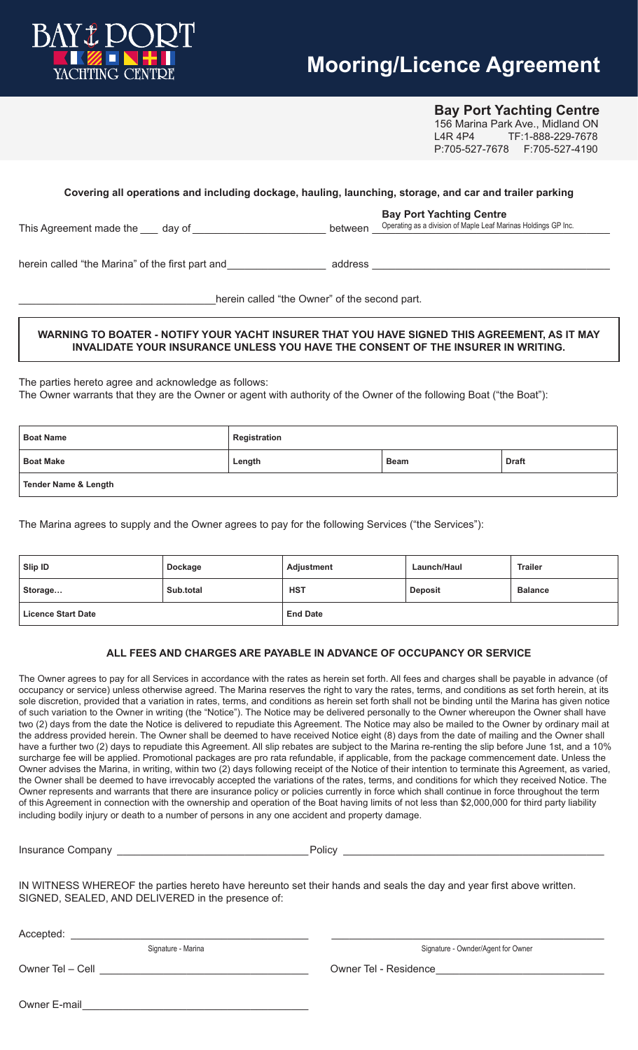

# **Mooring/Licence Agreement**

## **Bay Port Yachting Centre**

156 Marina Park Ave., Midland ON L4R 4P4 TF:1-888-229-7678 P:705-527-7678 F:705-527-4190

#### **Covering all operations and including dockage, hauling, launching, storage, and car and trailer parking**

This Agreement made the \_\_\_\_ day of \_\_\_\_\_\_\_\_\_\_\_\_\_\_\_\_\_\_\_\_\_\_\_\_\_\_\_\_\_\_\_between \_\_\_<sup>Operating as a division of Maple Leaf Marinas Holdings GP Inc.</sup> **Bay Port Yachting Centre**

herein called "the Marina" of the first part and **Example 20** address address **address** 

\_\_\_\_\_\_\_\_\_\_\_\_\_\_\_\_\_\_\_\_\_\_\_\_\_\_\_\_\_\_\_\_\_\_herein called "the Owner" of the second part.

#### **WARNING TO BOATER - NOTIFY YOUR YACHT INSURER THAT YOU HAVE SIGNED THIS AGREEMENT, AS IT MAY INVALIDATE YOUR INSURANCE UNLESS YOU HAVE THE CONSENT OF THE INSURER IN WRITING.**

The parties hereto agree and acknowledge as follows: The Owner warrants that they are the Owner or agent with authority of the Owner of the following Boat ("the Boat"):

| <b>Boat Name</b>                | Registration |             |              |  |  |
|---------------------------------|--------------|-------------|--------------|--|--|
| <b>Boat Make</b>                | Length       | <b>Beam</b> | <b>Draft</b> |  |  |
| <b>Tender Name &amp; Length</b> |              |             |              |  |  |

The Marina agrees to supply and the Owner agrees to pay for the following Services ("the Services"):

| Slip ID                   | Dockage   | Adjustment      | Launch/Haul    | <b>Trailer</b> |
|---------------------------|-----------|-----------------|----------------|----------------|
| Storage                   | Sub.total | <b>HST</b>      | <b>Deposit</b> | <b>Balance</b> |
| <b>Licence Start Date</b> |           | <b>End Date</b> |                |                |

#### **ALL FEES AND CHARGES ARE PAYABLE IN ADVANCE OF OCCUPANCY OR SERVICE**

The Owner agrees to pay for all Services in accordance with the rates as herein set forth. All fees and charges shall be payable in advance (of occupancy or service) unless otherwise agreed. The Marina reserves the right to vary the rates, terms, and conditions as set forth herein, at its sole discretion, provided that a variation in rates, terms, and conditions as herein set forth shall not be binding until the Marina has given notice of such variation to the Owner in writing (the "Notice"). The Notice may be delivered personally to the Owner whereupon the Owner shall have two (2) days from the date the Notice is delivered to repudiate this Agreement. The Notice may also be mailed to the Owner by ordinary mail at the address provided herein. The Owner shall be deemed to have received Notice eight (8) days from the date of mailing and the Owner shall have a further two (2) days to repudiate this Agreement. All slip rebates are subject to the Marina re-renting the slip before June 1st, and a 10% surcharge fee will be applied. Promotional packages are pro rata refundable, if applicable, from the package commencement date. Unless the Owner advises the Marina, in writing, within two (2) days following receipt of the Notice of their intention to terminate this Agreement, as varied, the Owner shall be deemed to have irrevocably accepted the variations of the rates, terms, and conditions for which they received Notice. The Owner represents and warrants that there are insurance policy or policies currently in force which shall continue in force throughout the term of this Agreement in connection with the ownership and operation of the Boat having limits of not less than \$2,000,000 for third party liability including bodily injury or death to a number of persons in any one accident and property damage.

| Insurance Company <b>Company Company Company Company Company Company Company Company Company Company Company Company Company Company Company Company Company Company Company Company Com</b> |                                    |  |  |  |
|----------------------------------------------------------------------------------------------------------------------------------------------------------------------------------------------|------------------------------------|--|--|--|
| IN WITNESS WHEREOF the parties hereto have hereunto set their hands and seals the day and year first above written.<br>SIGNED, SEALED, AND DELIVERED in the presence of:                     |                                    |  |  |  |
| Accepted:<br>Signature - Marina                                                                                                                                                              | Signature - Ownder/Agent for Owner |  |  |  |
| Owner Tel - Cell                                                                                                                                                                             | Owner Tel - Residence              |  |  |  |

| วwner E-mail. |  |
|---------------|--|
|               |  |